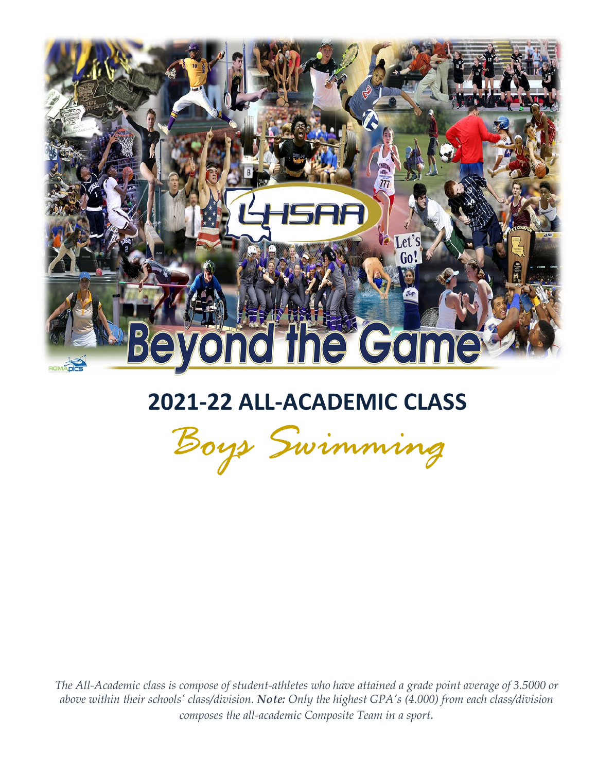

# **2021-22 ALL-ACADEMIC CLASS**

*Boys Swimming*

*The All-Academic class is compose of student-athletes who have attained a grade point average of 3.5000 or above within their schools' class/division. Note: Only the highest GPA's (4.000) from each class/division composes the all-academic Composite Team in a sport.*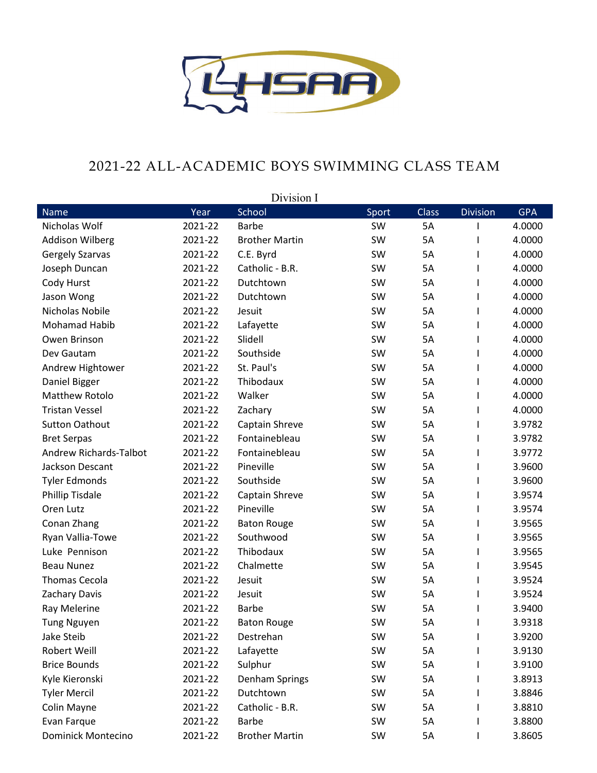

#### 2021-22 ALL-ACADEMIC BOYS SWIMMING CLASS TEAM

|                           |         | Division I            |       |              |                 |            |
|---------------------------|---------|-----------------------|-------|--------------|-----------------|------------|
| <b>Name</b>               | Year    | School                | Sport | <b>Class</b> | <b>Division</b> | <b>GPA</b> |
| Nicholas Wolf             | 2021-22 | <b>Barbe</b>          | SW    | 5A           |                 | 4.0000     |
| <b>Addison Wilberg</b>    | 2021-22 | <b>Brother Martin</b> | SW    | 5A           |                 | 4.0000     |
| <b>Gergely Szarvas</b>    | 2021-22 | C.E. Byrd             | SW    | 5A           |                 | 4.0000     |
| Joseph Duncan             | 2021-22 | Catholic - B.R.       | SW    | 5A           | L               | 4.0000     |
| Cody Hurst                | 2021-22 | Dutchtown             | SW    | 5A           |                 | 4.0000     |
| Jason Wong                | 2021-22 | Dutchtown             | SW    | 5A           |                 | 4.0000     |
| Nicholas Nobile           | 2021-22 | Jesuit                | SW    | 5A           |                 | 4.0000     |
| Mohamad Habib             | 2021-22 | Lafayette             | SW    | 5A           |                 | 4.0000     |
| Owen Brinson              | 2021-22 | Slidell               | SW    | 5A           | L               | 4.0000     |
| Dev Gautam                | 2021-22 | Southside             | SW    | 5A           |                 | 4.0000     |
| Andrew Hightower          | 2021-22 | St. Paul's            | SW    | 5A           |                 | 4.0000     |
| Daniel Bigger             | 2021-22 | Thibodaux             | SW    | 5A           |                 | 4.0000     |
| Matthew Rotolo            | 2021-22 | Walker                | SW    | 5A           |                 | 4.0000     |
| <b>Tristan Vessel</b>     | 2021-22 | Zachary               | SW    | 5A           | L               | 4.0000     |
| <b>Sutton Oathout</b>     | 2021-22 | Captain Shreve        | SW    | 5A           |                 | 3.9782     |
| <b>Bret Serpas</b>        | 2021-22 | Fontainebleau         | SW    | 5A           | L               | 3.9782     |
| Andrew Richards-Talbot    | 2021-22 | Fontainebleau         | SW    | 5A           | L               | 3.9772     |
| Jackson Descant           | 2021-22 | Pineville             | SW    | 5A           |                 | 3.9600     |
| <b>Tyler Edmonds</b>      | 2021-22 | Southside             | SW    | 5A           |                 | 3.9600     |
| <b>Phillip Tisdale</b>    | 2021-22 | Captain Shreve        | SW    | 5A           |                 | 3.9574     |
| Oren Lutz                 | 2021-22 | Pineville             | SW    | 5A           | L               | 3.9574     |
| Conan Zhang               | 2021-22 | <b>Baton Rouge</b>    | SW    | 5A           |                 | 3.9565     |
| Ryan Vallia-Towe          | 2021-22 | Southwood             | SW    | 5A           |                 | 3.9565     |
| Luke Pennison             | 2021-22 | Thibodaux             | SW    | 5A           |                 | 3.9565     |
| <b>Beau Nunez</b>         | 2021-22 | Chalmette             | SW    | 5A           |                 | 3.9545     |
| <b>Thomas Cecola</b>      | 2021-22 | Jesuit                | SW    | 5A           | L               | 3.9524     |
| Zachary Davis             | 2021-22 | Jesuit                | SW    | 5A           |                 | 3.9524     |
| Ray Melerine              | 2021-22 | <b>Barbe</b>          | SW    | 5A           |                 | 3.9400     |
| <b>Tung Nguyen</b>        | 2021-22 | <b>Baton Rouge</b>    | SW    | 5A           |                 | 3.9318     |
| Jake Steib                | 2021-22 | Destrehan             | SW    | 5A           |                 | 3.9200     |
| Robert Weill              | 2021-22 | Lafayette             | SW    | 5A           |                 | 3.9130     |
| <b>Brice Bounds</b>       | 2021-22 | Sulphur               | SW    | 5A           |                 | 3.9100     |
| Kyle Kieronski            | 2021-22 | Denham Springs        | SW    | 5A           |                 | 3.8913     |
| <b>Tyler Mercil</b>       | 2021-22 | Dutchtown             | SW    | 5A           |                 | 3.8846     |
| Colin Mayne               | 2021-22 | Catholic - B.R.       | SW    | 5A           |                 | 3.8810     |
| Evan Farque               | 2021-22 | <b>Barbe</b>          | SW    | 5A           |                 | 3.8800     |
| <b>Dominick Montecino</b> | 2021-22 | <b>Brother Martin</b> | SW    | 5A           | L               | 3.8605     |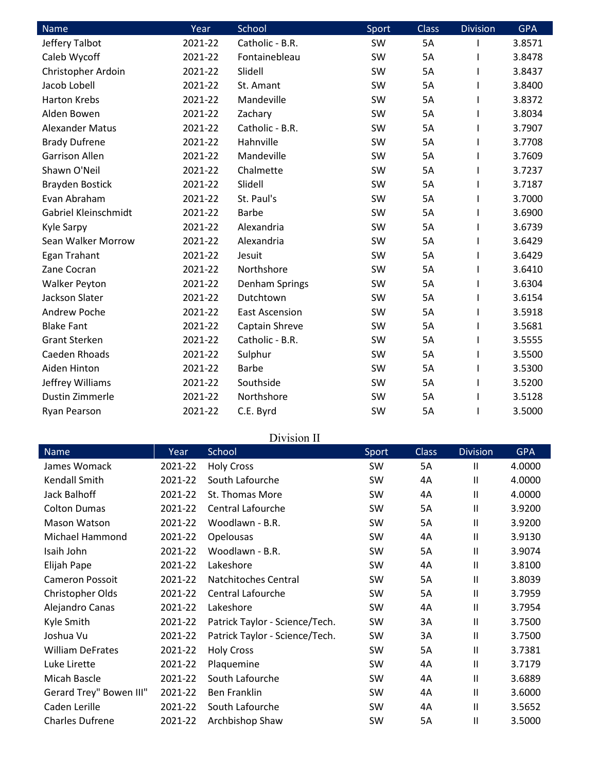| Name                   | Year    | School                | Sport | <b>Class</b> | <b>Division</b> | <b>GPA</b> |
|------------------------|---------|-----------------------|-------|--------------|-----------------|------------|
| Jeffery Talbot         | 2021-22 | Catholic - B.R.       | SW    | <b>5A</b>    |                 | 3.8571     |
| Caleb Wycoff           | 2021-22 | Fontainebleau         | SW    | 5A           |                 | 3.8478     |
| Christopher Ardoin     | 2021-22 | Slidell               | SW    | 5A           |                 | 3.8437     |
| Jacob Lobell           | 2021-22 | St. Amant             | SW    | <b>5A</b>    |                 | 3.8400     |
| <b>Harton Krebs</b>    | 2021-22 | Mandeville            | SW    | 5A           |                 | 3.8372     |
| Alden Bowen            | 2021-22 | Zachary               | SW    | 5A           |                 | 3.8034     |
| <b>Alexander Matus</b> | 2021-22 | Catholic - B.R.       | SW    | <b>5A</b>    |                 | 3.7907     |
| <b>Brady Dufrene</b>   | 2021-22 | Hahnville             | SW    | 5A           |                 | 3.7708     |
| <b>Garrison Allen</b>  | 2021-22 | Mandeville            | SW    | <b>5A</b>    |                 | 3.7609     |
| Shawn O'Neil           | 2021-22 | Chalmette             | SW    | 5A           |                 | 3.7237     |
| <b>Brayden Bostick</b> | 2021-22 | Slidell               | SW    | 5A           |                 | 3.7187     |
| Evan Abraham           | 2021-22 | St. Paul's            | SW    | <b>5A</b>    |                 | 3.7000     |
| Gabriel Kleinschmidt   | 2021-22 | <b>Barbe</b>          | SW    | 5A           |                 | 3.6900     |
| Kyle Sarpy             | 2021-22 | Alexandria            | SW    | 5A           |                 | 3.6739     |
| Sean Walker Morrow     | 2021-22 | Alexandria            | SW    | <b>5A</b>    |                 | 3.6429     |
| Egan Trahant           | 2021-22 | Jesuit                | SW    | 5A           |                 | 3.6429     |
| Zane Cocran            | 2021-22 | Northshore            | SW    | 5A           |                 | 3.6410     |
| <b>Walker Peyton</b>   | 2021-22 | <b>Denham Springs</b> | SW    | <b>5A</b>    |                 | 3.6304     |
| Jackson Slater         | 2021-22 | Dutchtown             | SW    | 5A           |                 | 3.6154     |
| Andrew Poche           | 2021-22 | <b>East Ascension</b> | SW    | 5A           |                 | 3.5918     |
| <b>Blake Fant</b>      | 2021-22 | Captain Shreve        | SW    | 5A           |                 | 3.5681     |
| <b>Grant Sterken</b>   | 2021-22 | Catholic - B.R.       | SW    | 5A           |                 | 3.5555     |
| Caeden Rhoads          | 2021-22 | Sulphur               | SW    | <b>5A</b>    |                 | 3.5500     |
| Aiden Hinton           | 2021-22 | <b>Barbe</b>          | SW    | 5A           |                 | 3.5300     |
| Jeffrey Williams       | 2021-22 | Southside             | SW    | 5A           |                 | 3.5200     |
| Dustin Zimmerle        | 2021-22 | Northshore            | SW    | <b>5A</b>    |                 | 3.5128     |
| Ryan Pearson           | 2021-22 | C.E. Byrd             | SW    | 5A           |                 | 3.5000     |

## Division II

| Name                    | Year    | School                         | Sport | <b>Class</b> | <b>Division</b> | <b>GPA</b> |
|-------------------------|---------|--------------------------------|-------|--------------|-----------------|------------|
| James Womack            | 2021-22 | <b>Holy Cross</b>              | SW    | 5A           | $\mathbf{I}$    | 4.0000     |
| Kendall Smith           | 2021-22 | South Lafourche                | SW    | 4A           | $\mathbf{I}$    | 4.0000     |
| Jack Balhoff            | 2021-22 | St. Thomas More                | SW    | 4A           | $\mathbf{I}$    | 4.0000     |
| <b>Colton Dumas</b>     | 2021-22 | <b>Central Lafourche</b>       | SW    | 5A           | Ш               | 3.9200     |
| Mason Watson            | 2021-22 | Woodlawn - B.R.                | SW    | 5A           | $\mathbf{I}$    | 3.9200     |
| Michael Hammond         | 2021-22 | Opelousas                      | SW    | 4A           | $\mathbf{I}$    | 3.9130     |
| Isaih John              | 2021-22 | Woodlawn - B.R.                | SW    | 5A           | $\mathbf{I}$    | 3.9074     |
| Elijah Pape             | 2021-22 | Lakeshore                      | SW    | 4A           | $\mathbf{I}$    | 3.8100     |
| <b>Cameron Possoit</b>  | 2021-22 | <b>Natchitoches Central</b>    | SW    | 5A           | $\mathbf{I}$    | 3.8039     |
| Christopher Olds        | 2021-22 | <b>Central Lafourche</b>       | SW    | 5A           | Ш               | 3.7959     |
| Alejandro Canas         | 2021-22 | Lakeshore                      | SW    | 4A           | Ш               | 3.7954     |
| Kyle Smith              | 2021-22 | Patrick Taylor - Science/Tech. | SW    | 3A           | $\mathbf{I}$    | 3.7500     |
| Joshua Vu               | 2021-22 | Patrick Taylor - Science/Tech. | SW    | 3A           | $\mathbf{I}$    | 3.7500     |
| <b>William DeFrates</b> | 2021-22 | <b>Holy Cross</b>              | SW    | 5A           | $\mathbf{I}$    | 3.7381     |
| Luke Lirette            | 2021-22 | Plaquemine                     | SW    | 4A           | $\mathbf{I}$    | 3.7179     |
| Micah Bascle            | 2021-22 | South Lafourche                | SW    | 4A           | $\mathbf{I}$    | 3.6889     |
| Gerard Trey" Bowen III" | 2021-22 | <b>Ben Franklin</b>            | SW    | 4A           | Ш               | 3.6000     |
| Caden Lerille           | 2021-22 | South Lafourche                | SW    | 4A           | $\mathbf{I}$    | 3.5652     |
| <b>Charles Dufrene</b>  | 2021-22 | Archbishop Shaw                | SW    | 5A           | Ш               | 3.5000     |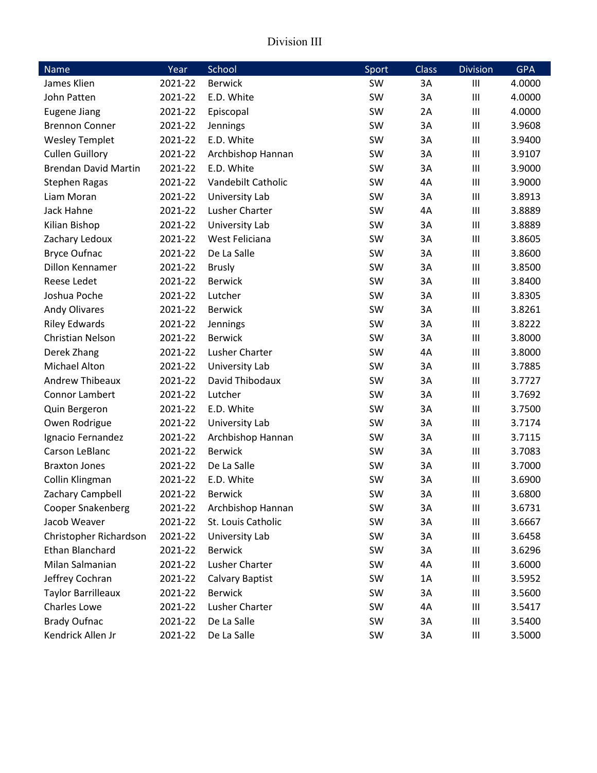#### Division III

| Name                        | Year    | School                | Sport     | <b>Class</b> | <b>Division</b>             | <b>GPA</b> |
|-----------------------------|---------|-----------------------|-----------|--------------|-----------------------------|------------|
| James Klien                 | 2021-22 | <b>Berwick</b>        | SW        | 3A           | III                         | 4.0000     |
| John Patten                 | 2021-22 | E.D. White            | SW        | 3A           | $\mathop{\rm III}\nolimits$ | 4.0000     |
| <b>Eugene Jiang</b>         | 2021-22 | Episcopal             | SW        | 2A           | $\mathop{\rm III}\nolimits$ | 4.0000     |
| <b>Brennon Conner</b>       | 2021-22 | Jennings              | SW        | 3A           | III                         | 3.9608     |
| <b>Wesley Templet</b>       | 2021-22 | E.D. White            | SW        | 3A           | III                         | 3.9400     |
| <b>Cullen Guillory</b>      | 2021-22 | Archbishop Hannan     | SW        | 3A           | $\mathop{\rm III}\nolimits$ | 3.9107     |
| <b>Brendan David Martin</b> | 2021-22 | E.D. White            | SW        | 3A           | $\mathop{\rm III}\nolimits$ | 3.9000     |
| <b>Stephen Ragas</b>        | 2021-22 | Vandebilt Catholic    | SW        | 4A           | $\mathop{\rm III}\nolimits$ | 3.9000     |
| Liam Moran                  | 2021-22 | University Lab        | SW        | 3A           | $\mathop{\rm III}\nolimits$ | 3.8913     |
| Jack Hahne                  | 2021-22 | Lusher Charter        | SW        | 4A           | III                         | 3.8889     |
| Kilian Bishop               | 2021-22 | University Lab        | SW        | 3A           | $\mathop{\rm III}\nolimits$ | 3.8889     |
| Zachary Ledoux              | 2021-22 | West Feliciana        | SW        | 3A           | $\mathop{\rm III}\nolimits$ | 3.8605     |
| <b>Bryce Oufnac</b>         | 2021-22 | De La Salle           | SW        | 3A           | III                         | 3.8600     |
| Dillon Kennamer             | 2021-22 | <b>Brusly</b>         | SW        | 3A           | $\mathop{\rm III}\nolimits$ | 3.8500     |
| Reese Ledet                 | 2021-22 | <b>Berwick</b>        | SW        | 3A           | $\mathop{\rm III}\nolimits$ | 3.8400     |
| Joshua Poche                | 2021-22 | Lutcher               | SW        | 3A           | $\mathop{\rm III}\nolimits$ | 3.8305     |
| <b>Andy Olivares</b>        | 2021-22 | <b>Berwick</b>        | SW        | 3A           | III                         | 3.8261     |
| <b>Riley Edwards</b>        | 2021-22 | Jennings              | SW        | 3A           | $\mathop{\rm III}\nolimits$ | 3.8222     |
| <b>Christian Nelson</b>     | 2021-22 | <b>Berwick</b>        | SW        | 3A           | $\mathop{\rm III}\nolimits$ | 3.8000     |
| Derek Zhang                 | 2021-22 | Lusher Charter        | SW        | 4A           | $\mathop{\rm III}\nolimits$ | 3.8000     |
| <b>Michael Alton</b>        | 2021-22 | <b>University Lab</b> | SW        | 3A           | $\mathop{\rm III}\nolimits$ | 3.7885     |
| <b>Andrew Thibeaux</b>      | 2021-22 | David Thibodaux       | SW        | 3A           | III                         | 3.7727     |
| <b>Connor Lambert</b>       | 2021-22 | Lutcher               | SW        | 3A           | III                         | 3.7692     |
| Quin Bergeron               | 2021-22 | E.D. White            | SW        | 3A           | $\mathop{\rm III}\nolimits$ | 3.7500     |
| Owen Rodrigue               | 2021-22 | University Lab        | SW        | 3A           | $\mathop{\rm III}\nolimits$ | 3.7174     |
| Ignacio Fernandez           | 2021-22 | Archbishop Hannan     | SW        | 3A           | $\mathop{\rm III}\nolimits$ | 3.7115     |
| Carson LeBlanc              | 2021-22 | <b>Berwick</b>        | SW        | 3A           | $\mathop{\rm III}\nolimits$ | 3.7083     |
| <b>Braxton Jones</b>        | 2021-22 | De La Salle           | SW        | 3A           | $\mathop{\rm III}\nolimits$ | 3.7000     |
| Collin Klingman             | 2021-22 | E.D. White            | SW        | 3A           | III                         | 3.6900     |
| Zachary Campbell            | 2021-22 | <b>Berwick</b>        | SW        | 3A           | $\mathbf{III}$              | 3.6800     |
| Cooper Snakenberg           | 2021-22 | Archbishop Hannan     | SW        | 3A           | Ш                           | 3.6731     |
| Jacob Weaver                | 2021-22 | St. Louis Catholic    | SW        | 3A           | $\mathbf{III}$              | 3.6667     |
| Christopher Richardson      | 2021-22 | University Lab        | SW        | 3A           | Ш                           | 3.6458     |
| Ethan Blanchard             | 2021-22 | <b>Berwick</b>        | SW        | 3A           | Ш                           | 3.6296     |
| Milan Salmanian             | 2021-22 | Lusher Charter        | <b>SW</b> | 4A           | $\mathbf{III}$              | 3.6000     |
| Jeffrey Cochran             | 2021-22 | Calvary Baptist       | SW        | 1A           | $\mathop{\rm III}\nolimits$ | 3.5952     |
| <b>Taylor Barrilleaux</b>   | 2021-22 | <b>Berwick</b>        | SW        | 3A           | Ш                           | 3.5600     |
| Charles Lowe                | 2021-22 | Lusher Charter        | SW        | 4A           | Ш                           | 3.5417     |
| <b>Brady Oufnac</b>         | 2021-22 | De La Salle           | SW        | 3A           | Ш                           | 3.5400     |
| Kendrick Allen Jr           | 2021-22 | De La Salle           | SW        | 3A           | Ш                           | 3.5000     |